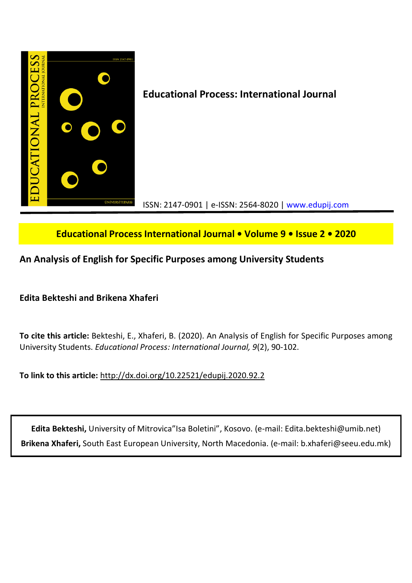

**Educational Process International Journal • Volume 9 • Issue 2 • 2020**

**An Analysis of English for Specific Purposes among University Students**

**Edita Bekteshi and Brikena Xhaferi**

**To cite this article:** Bekteshi, E., Xhaferi, B. (2020). An Analysis of English for Specific Purposes among University Students. *Educational Process: International Journal, 9*(2), 90-102.

**To link to this article:** http://dx.doi.org/10.22521/edupij.2020.92.2

**Edita Bekteshi,** University of Mitrovica"Isa Boletini", Kosovo. (e-mail: Edita.bekteshi@umib.net) **Brikena Xhaferi,** South East European University, North Macedonia. (e-mail: b.xhaferi@seeu.edu.mk)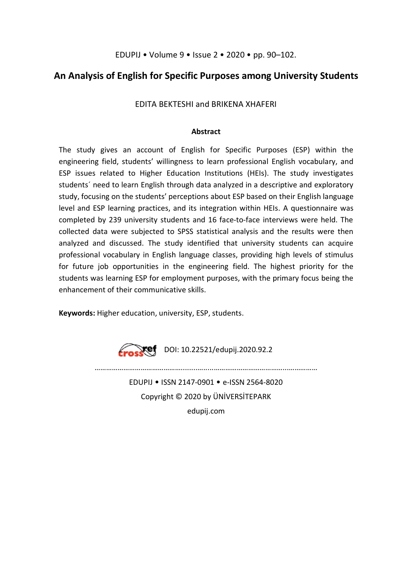EDUPIJ • Volume 9 • Issue 2 • 2020 • pp. 90–102.

# **An Analysis of English for Specific Purposes among University Students**

EDITA BEKTESHI and BRIKENA XHAFERI

## **Abstract**

The study gives an account of English for Specific Purposes (ESP) within the engineering field, students' willingness to learn professional English vocabulary, and ESP issues related to Higher Education Institutions (HEIs). The study investigates students´ need to learn English through data analyzed in a descriptive and exploratory study, focusing on the students' perceptions about ESP based on their English language level and ESP learning practices, and its integration within HEIs. A questionnaire was completed by 239 university students and 16 face-to-face interviews were held. The collected data were subjected to SPSS statistical analysis and the results were then analyzed and discussed. The study identified that university students can acquire professional vocabulary in English language classes, providing high levels of stimulus for future job opportunities in the engineering field. The highest priority for the students was learning ESP for employment purposes, with the primary focus being the enhancement of their communicative skills.

**Keywords:** Higher education, university, ESP, students.



………………………………………........….....………………………………...…………… EDUPIJ • ISSN 2147-0901 • e-ISSN 2564-8020 Copyright © 2020 by ÜNİVERSİTEPARK edupij.com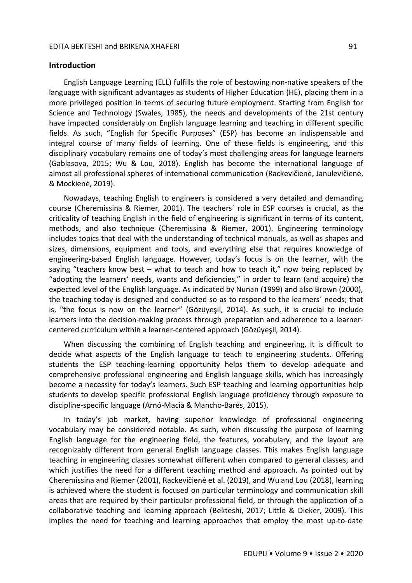### **Introduction**

English Language Learning (ELL) fulfills the role of bestowing non-native speakers of the language with significant advantages as students of Higher Education (HE), placing them in a more privileged position in terms of securing future employment. Starting from English for Science and Technology (Swales, 1985), the needs and developments of the 21st century have impacted considerably on English language learning and teaching in different specific fields. As such, "English for Specific Purposes" (ESP) has become an indispensable and integral course of many fields of learning. One of these fields is engineering, and this disciplinary vocabulary remains one of today's most challenging areas for language learners (Gablasova, 2015; Wu & Lou, 2018). English has become the international language of almost all professional spheres of international communication (Rackevičienė, Janulevičienė, & Mockienė, 2019).

Nowadays, teaching English to engineers is considered a very detailed and demanding course (Cheremissina & Riemer, 2001). The teachers´ role in ESP courses is crucial, as the criticality of teaching English in the field of engineering is significant in terms of its content, methods, and also technique (Cheremissina & Riemer, 2001). Engineering terminology includes topics that deal with the understanding of technical manuals, as well as shapes and sizes, dimensions, equipment and tools, and everything else that requires knowledge of engineering-based English language. However, today's focus is on the learner, with the saying "teachers know best – what to teach and how to teach it," now being replaced by "adopting the learners' needs, wants and deficiencies," in order to learn (and acquire) the expected level of the English language. As indicated by Nunan (1999) and also Brown (2000), the teaching today is designed and conducted so as to respond to the learners´ needs; that is, "the focus is now on the learner" (Gözüyeşil, 2014). As such, it is crucial to include learners into the decision-making process through preparation and adherence to a learnercentered curriculum within a learner-centered approach (Gözüyeşil, 2014).

When discussing the combining of English teaching and engineering, it is difficult to decide what aspects of the English language to teach to engineering students. Offering students the ESP teaching-learning opportunity helps them to develop adequate and comprehensive professional engineering and English language skills, which has increasingly become a necessity for today's learners. Such ESP teaching and learning opportunities help students to develop specific professional English language proficiency through exposure to discipline-specific language (Arnó-Macià & Mancho-Barés, 2015).

In today's job market, having superior knowledge of professional engineering vocabulary may be considered notable. As such, when discussing the purpose of learning English language for the engineering field, the features, vocabulary, and the layout are recognizably different from general English language classes. This makes English language teaching in engineering classes somewhat different when compared to general classes, and which justifies the need for a different teaching method and approach. As pointed out by Cheremissina and Riemer (2001), Rackevičienė et al. (2019), and Wu and Lou (2018), learning is achieved where the student is focused on particular terminology and communication skill areas that are required by their particular professional field, or through the application of a collaborative teaching and learning approach (Bekteshi, 2017; Little & Dieker, 2009). This implies the need for teaching and learning approaches that employ the most up-to-date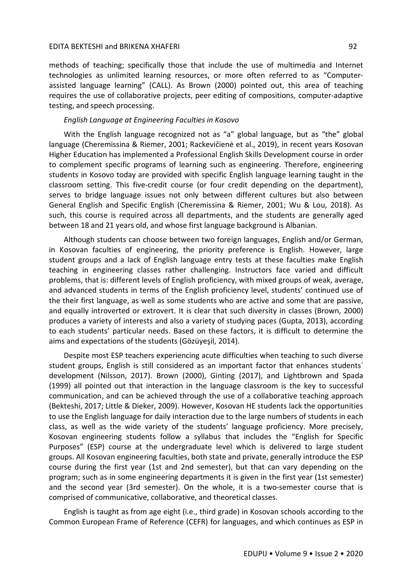methods of teaching; specifically those that include the use of multimedia and Internet technologies as unlimited learning resources, or more often referred to as "Computerassisted language learning" (CALL). As Brown (2000) pointed out, this area of teaching requires the use of collaborative projects, peer editing of compositions, computer-adaptive testing, and speech processing.

### *English Language at Engineering Faculties in Kosovo*

With the English language recognized not as "a" global language, but as "the" global language (Cheremissina & Riemer, 2001; Rackevičienė et al., 2019), in recent years Kosovan Higher Education has implemented a Professional English Skills Development course in order to complement specific programs of learning such as engineering. Therefore, engineering students in Kosovo today are provided with specific English language learning taught in the classroom setting. This five-credit course (or four credit depending on the department), serves to bridge language issues not only between different cultures but also between General English and Specific English (Cheremissina & Riemer, 2001; Wu & Lou, 2018). As such, this course is required across all departments, and the students are generally aged between 18 and 21 years old, and whose first language background is Albanian.

Although students can choose between two foreign languages, English and/or German, in Kosovan faculties of engineering, the priority preference is English. However, large student groups and a lack of English language entry tests at these faculties make English teaching in engineering classes rather challenging. Instructors face varied and difficult problems, that is: different levels of English proficiency, with mixed groups of weak, average, and advanced students in terms of the English proficiency level, students' continued use of the their first language, as well as some students who are active and some that are passive, and equally introverted or extrovert. It is clear that such diversity in classes (Brown, 2000) produces a variety of interests and also a variety of studying paces (Gupta, 2013), according to each students' particular needs. Based on these factors, it is difficult to determine the aims and expectations of the students (Gözüyeşil, 2014).

Despite most ESP teachers experiencing acute difficulties when teaching to such diverse student groups, English is still considered as an important factor that enhances students´ development (Nilsson, 2017). Brown (2000), Ginting (2017), and Lightbrown and Spada (1999) all pointed out that interaction in the language classroom is the key to successful communication, and can be achieved through the use of a collaborative teaching approach (Bekteshi, 2017; Little & Dieker, 2009). However, Kosovan HE students lack the opportunities to use the English language for daily interaction due to the large numbers of students in each class, as well as the wide variety of the students' language proficiency. More precisely, Kosovan engineering students follow a syllabus that includes the "English for Specific Purposes" (ESP) course at the undergraduate level which is delivered to large student groups. All Kosovan engineering faculties, both state and private, generally introduce the ESP course during the first year (1st and 2nd semester), but that can vary depending on the program; such as in some engineering departments it is given in the first year (1st semester) and the second year (3rd semester). On the whole, it is a two-semester course that is comprised of communicative, collaborative, and theoretical classes.

English is taught as from age eight (i.e., third grade) in Kosovan schools according to the Common European Frame of Reference (CEFR) for languages, and which continues as ESP in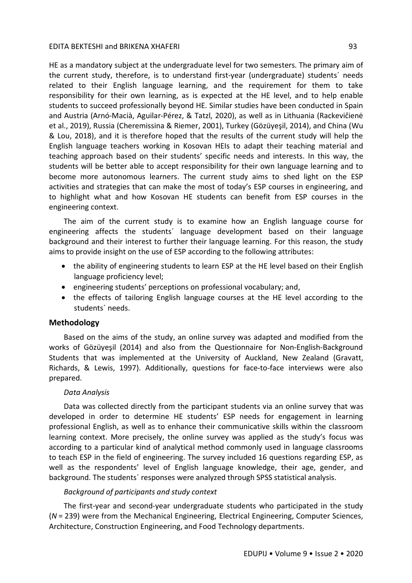HE as a mandatory subject at the undergraduate level for two semesters. The primary aim of the current study, therefore, is to understand first-year (undergraduate) students´ needs related to their English language learning, and the requirement for them to take responsibility for their own learning, as is expected at the HE level, and to help enable students to succeed professionally beyond HE. Similar studies have been conducted in Spain and Austria (Arnó-Macià, Aguilar-Pérez, & Tatzl, 2020), as well as in Lithuania (Rackevičienė et al., 2019), Russia (Cheremissina & Riemer, 2001), Turkey (Gözüyeşil, 2014), and China (Wu & Lou, 2018), and it is therefore hoped that the results of the current study will help the English language teachers working in Kosovan HEIs to adapt their teaching material and teaching approach based on their students' specific needs and interests. In this way, the students will be better able to accept responsibility for their own language learning and to become more autonomous learners. The current study aims to shed light on the ESP activities and strategies that can make the most of today's ESP courses in engineering, and to highlight what and how Kosovan HE students can benefit from ESP courses in the engineering context.

The aim of the current study is to examine how an English language course for engineering affects the students´ language development based on their language background and their interest to further their language learning. For this reason, the study aims to provide insight on the use of ESP according to the following attributes:

- the ability of engineering students to learn ESP at the HE level based on their English language proficiency level;
- engineering students' perceptions on professional vocabulary; and,
- the effects of tailoring English language courses at the HE level according to the students´ needs.

### **Methodology**

Based on the aims of the study, an online survey was adapted and modified from the works of Gözüyeşil (2014) and also from the Questionnaire for Non-English-Background Students that was implemented at the University of Auckland, New Zealand (Gravatt, Richards, & Lewis, 1997). Additionally, questions for face-to-face interviews were also prepared.

### *Data Analysis*

Data was collected directly from the participant students via an online survey that was developed in order to determine HE students' ESP needs for engagement in learning professional English, as well as to enhance their communicative skills within the classroom learning context. More precisely, the online survey was applied as the study's focus was according to a particular kind of analytical method commonly used in language classrooms to teach ESP in the field of engineering. The survey included 16 questions regarding ESP, as well as the respondents' level of English language knowledge, their age, gender, and background. The students´ responses were analyzed through SPSS statistical analysis.

### *Background of participants and study context*

The first-year and second-year undergraduate students who participated in the study (*N* = 239) were from the Mechanical Engineering, Electrical Engineering, Computer Sciences, Architecture, Construction Engineering, and Food Technology departments.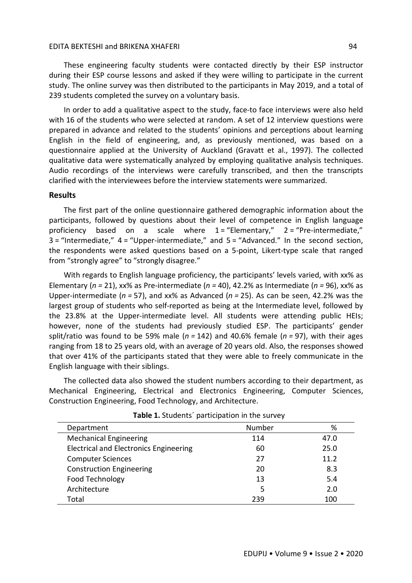These engineering faculty students were contacted directly by their ESP instructor during their ESP course lessons and asked if they were willing to participate in the current study. The online survey was then distributed to the participants in May 2019, and a total of 239 students completed the survey on a voluntary basis.

In order to add a qualitative aspect to the study, face-to face interviews were also held with 16 of the students who were selected at random. A set of 12 interview questions were prepared in advance and related to the students' opinions and perceptions about learning English in the field of engineering, and, as previously mentioned, was based on a questionnaire applied at the University of Auckland (Gravatt et al., 1997). The collected qualitative data were systematically analyzed by employing qualitative analysis techniques. Audio recordings of the interviews were carefully transcribed, and then the transcripts clarified with the interviewees before the interview statements were summarized.

### **Results**

The first part of the online questionnaire gathered demographic information about the participants, followed by questions about their level of competence in English language proficiency based on a scale where  $1 =$  "Elementary,"  $2 =$  "Pre-intermediate,"  $3 =$  "Intermediate,"  $4 =$  "Upper-intermediate," and  $5 =$  "Advanced." In the second section, the respondents were asked questions based on a 5-point, Likert-type scale that ranged from "strongly agree" to "strongly disagree."

With regards to English language proficiency, the participants' levels varied, with xx% as Elementary (*n =* 21), xx% as Pre-intermediate (*n =* 40), 42.2% as Intermediate (*n =* 96), xx% as Upper-intermediate (*n =* 57), and xx% as Advanced (*n =* 25). As can be seen, 42.2% was the largest group of students who self-reported as being at the Intermediate level, followed by the 23.8% at the Upper-intermediate level. All students were attending public HEIs; however, none of the students had previously studied ESP. The participants' gender split/ratio was found to be 59% male (*n =* 142) and 40.6% female (*n =* 97), with their ages ranging from 18 to 25 years old, with an average of 20 years old. Also, the responses showed that over 41% of the participants stated that they were able to freely communicate in the English language with their siblings.

The collected data also showed the student numbers according to their department, as Mechanical Engineering, Electrical and Electronics Engineering, Computer Sciences, Construction Engineering, Food Technology, and Architecture.

| Department                                    | Number | %    |
|-----------------------------------------------|--------|------|
| <b>Mechanical Engineering</b>                 | 114    | 47.0 |
| <b>Electrical and Electronics Engineering</b> | 60     | 25.0 |
| <b>Computer Sciences</b>                      | 27     | 11.2 |
| <b>Construction Engineering</b>               | 20     | 8.3  |
| Food Technology                               | 13     | 5.4  |
| Architecture                                  | 5      | 2.0  |
| Total                                         | 239    | 100  |

| Table 1. Students' participation in the survey |  |  |
|------------------------------------------------|--|--|
|------------------------------------------------|--|--|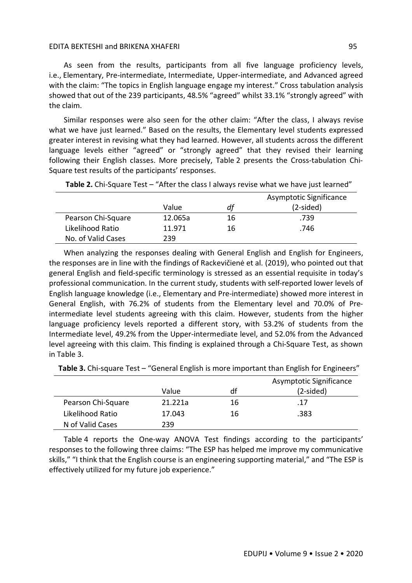As seen from the results, participants from all five language proficiency levels, i.e., Elementary, Pre-intermediate, Intermediate, Upper-intermediate, and Advanced agreed with the claim: "The topics in English language engage my interest." Cross tabulation analysis showed that out of the 239 participants, 48.5% "agreed" whilst 33.1% "strongly agreed" with the claim.

Similar responses were also seen for the other claim: "After the class, I always revise what we have just learned." Based on the results, the Elementary level students expressed greater interest in revising what they had learned. However, all students across the different language levels either "agreed" or "strongly agreed" that they revised their learning following their English classes. More precisely, Table 2 presents the Cross-tabulation Chi-Square test results of the participants' responses.

|                    | Value   | dt | Asymptotic Significance<br>$(2-sided)$ |
|--------------------|---------|----|----------------------------------------|
| Pearson Chi-Square | 12.065a | 16 | .739                                   |
| Likelihood Ratio   | 11.971  | 16 | .746                                   |
| No. of Valid Cases | 239     |    |                                        |

**Table 2.** Chi-Square Test – "After the class I always revise what we have just learned"

When analyzing the responses dealing with General English and English for Engineers, the responses are in line with the findings of Rackevičienė et al. (2019), who pointed out that general English and field-specific terminology is stressed as an essential requisite in today's professional communication. In the current study, students with self-reported lower levels of English language knowledge (i.e., Elementary and Pre-intermediate) showed more interest in General English, with 76.2% of students from the Elementary level and 70.0% of Preintermediate level students agreeing with this claim. However, students from the higher language proficiency levels reported a different story, with 53.2% of students from the Intermediate level, 49.2% from the Upper-intermediate level, and 52.0% from the Advanced level agreeing with this claim. This finding is explained through a Chi-Square Test, as shown in Table 3.

**Table 3.** Chi-square Test – "General English is more important than English for Engineers"

|                    |         |    | Asymptotic Significance |
|--------------------|---------|----|-------------------------|
|                    | Value   | df | $(2-sided)$             |
| Pearson Chi-Square | 21.221a | 16 | .17                     |
| Likelihood Ratio   | 17.043  | 16 | .383                    |
| N of Valid Cases   | 239     |    |                         |

Table 4 reports the One-way ANOVA Test findings according to the participants' responses to the following three claims: "The ESP has helped me improve my communicative skills," "I think that the English course is an engineering supporting material," and "The ESP is effectively utilized for my future job experience."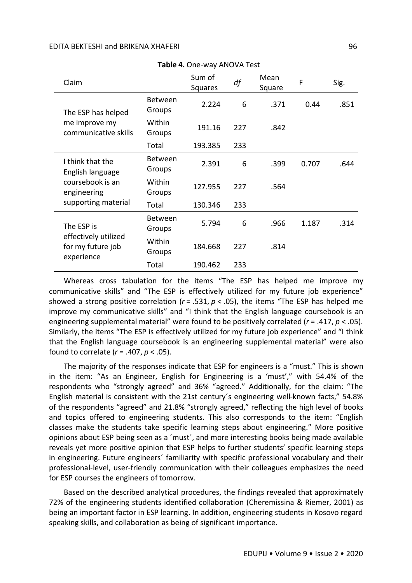| Table 4. One-way ANOVA Test                             |                          |                   |     |                |       |      |
|---------------------------------------------------------|--------------------------|-------------------|-----|----------------|-------|------|
| Claim                                                   |                          | Sum of<br>Squares | df  | Mean<br>Square | F     | Sig. |
| The ESP has helped                                      | <b>Between</b><br>Groups | 2.224             | 6   | .371           | 0.44  | .851 |
| me improve my<br>communicative skills                   | Within<br>Groups         | 191.16            | 227 | .842           |       |      |
|                                                         | Total                    | 193.385           | 233 |                |       |      |
| I think that the<br>English language                    | <b>Between</b><br>Groups | 2.391             | 6   | .399           | 0.707 | .644 |
| coursebook is an<br>engineering                         | Within<br>Groups         | 127.955           | 227 | .564           |       |      |
| supporting material                                     | Total                    | 130.346           | 233 |                |       |      |
| The ESP is                                              | <b>Between</b><br>Groups | 5.794             | 6   | .966           | 1.187 | .314 |
| effectively utilized<br>for my future job<br>experience | Within<br>Groups         | 184.668           | 227 | .814           |       |      |
|                                                         | Total                    | 190.462           | 233 |                |       |      |

Whereas cross tabulation for the items "The ESP has helped me improve my communicative skills" and "The ESP is effectively utilized for my future job experience" showed a strong positive correlation (*r* = .531, *p* < .05), the items "The ESP has helped me improve my communicative skills" and "I think that the English language coursebook is an engineering supplemental material" were found to be positively correlated (*r* = .417, *p* < .05). Similarly, the items "The ESP is effectively utilized for my future job experience" and "I think that the English language coursebook is an engineering supplemental material" were also found to correlate (*r* = .407, *p* < .05).

The majority of the responses indicate that ESP for engineers is a "must." This is shown in the item: "As an Engineer, English for Engineering is a 'must'," with 54.4% of the respondents who "strongly agreed" and 36% "agreed." Additionally, for the claim: "The English material is consistent with the 21st century´s engineering well-known facts," 54.8% of the respondents "agreed" and 21.8% "strongly agreed," reflecting the high level of books and topics offered to engineering students. This also corresponds to the item: "English classes make the students take specific learning steps about engineering." More positive opinions about ESP being seen as a ´must´, and more interesting books being made available reveals yet more positive opinion that ESP helps to further students' specific learning steps in engineering. Future engineers´ familiarity with specific professional vocabulary and their professional-level, user-friendly communication with their colleagues emphasizes the need for ESP courses the engineers of tomorrow.

Based on the described analytical procedures, the findings revealed that approximately 72% of the engineering students identified collaboration (Cheremissina & Riemer, 2001) as being an important factor in ESP learning. In addition, engineering students in Kosovo regard speaking skills, and collaboration as being of significant importance.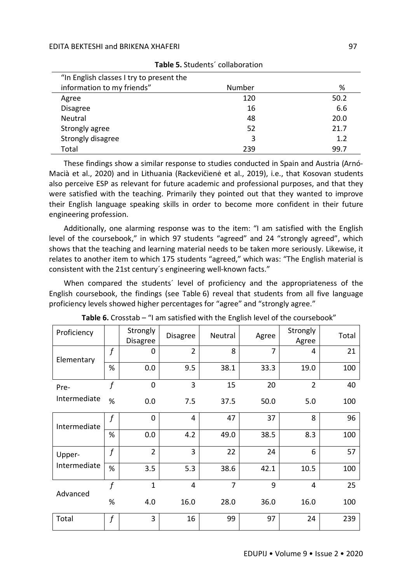| "In English classes I try to present the |        |      |
|------------------------------------------|--------|------|
| information to my friends"               | Number | %    |
| Agree                                    | 120    | 50.2 |
| <b>Disagree</b>                          | 16     | 6.6  |
| Neutral                                  | 48     | 20.0 |
| Strongly agree                           | 52     | 21.7 |
| Strongly disagree                        | 3      | 1.2  |
| Total                                    | 239    | 99.7 |

| Table 5. Students' collaboration |  |
|----------------------------------|--|
|----------------------------------|--|

These findings show a similar response to studies conducted in Spain and Austria (Arnó-Macià et al., 2020) and in Lithuania (Rackevičienė et al., 2019), i.e., that Kosovan students also perceive ESP as relevant for future academic and professional purposes, and that they were satisfied with the teaching. Primarily they pointed out that they wanted to improve their English language speaking skills in order to become more confident in their future engineering profession.

Additionally, one alarming response was to the item: "I am satisfied with the English level of the coursebook," in which 97 students "agreed" and 24 "strongly agreed", which shows that the teaching and learning material needs to be taken more seriously. Likewise, it relates to another item to which 175 students "agreed," which was: "The English material is consistent with the 21st century´s engineering well-known facts."

When compared the students´ level of proficiency and the appropriateness of the English coursebook, the findings (see Table 6) reveal that students from all five language proficiency levels showed higher percentages for "agree" and "strongly agree."

| Proficiency  |                  | <b>Strongly</b><br><b>Disagree</b> | <b>Disagree</b> | Neutral        | Agree          | Strongly<br>Agree | Total |
|--------------|------------------|------------------------------------|-----------------|----------------|----------------|-------------------|-------|
| Elementary   | f                | 0                                  | $\overline{2}$  | 8              | $\overline{7}$ | 4                 | 21    |
|              | %                | 0.0                                | 9.5             | 38.1           | 33.3           | 19.0              | 100   |
| Pre-         | $\boldsymbol{f}$ | 0                                  | 3               | 15             | 20             | $\overline{2}$    | 40    |
| Intermediate | $\%$             | 0.0                                | 7.5             | 37.5           | 50.0           | 5.0               | 100   |
| Intermediate | $\int$           | 0                                  | 4               | 47             | 37             | 8                 | 96    |
|              | %                | 0.0                                | 4.2             | 49.0           | 38.5           | 8.3               | 100   |
| Upper-       | $\boldsymbol{f}$ | $\overline{2}$                     | 3               | 22             | 24             | 6                 | 57    |
| Intermediate | %                | 3.5                                | 5.3             | 38.6           | 42.1           | 10.5              | 100   |
| Advanced     | $\overline{f}$   | $\mathbf{1}$                       | $\overline{4}$  | $\overline{7}$ | 9              | $\overline{4}$    | 25    |
|              | %                | 4.0                                | 16.0            | 28.0           | 36.0           | 16.0              | 100   |
| Total        | f                | 3                                  | 16              | 99             | 97             | 24                | 239   |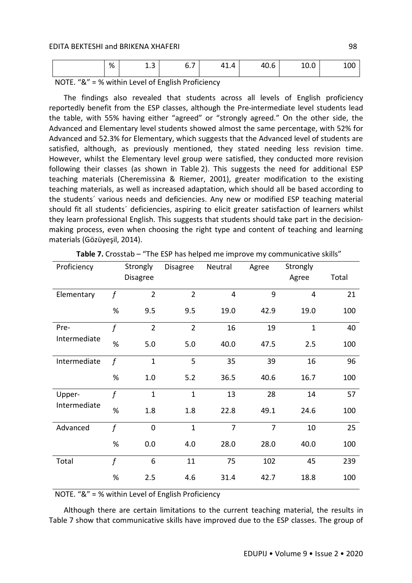| $\sim$<br>%<br>-<br>$\overline{\phantom{a}}$<br>11<br>$\overline{\phantom{0}}$<br>40<br>.<br>70.U<br>∸.J<br>v., | $\sim$<br>100 <sub>1</sub><br>$\sim$<br>10.0 |
|-----------------------------------------------------------------------------------------------------------------|----------------------------------------------|
|-----------------------------------------------------------------------------------------------------------------|----------------------------------------------|

NOTE. "&" = % within Level of English Proficiency

The findings also revealed that students across all levels of English proficiency reportedly benefit from the ESP classes, although the Pre-intermediate level students lead the table, with 55% having either "agreed" or "strongly agreed." On the other side, the Advanced and Elementary level students showed almost the same percentage, with 52% for Advanced and 52.3% for Elementary, which suggests that the Advanced level of students are satisfied, although, as previously mentioned, they stated needing less revision time. However, whilst the Elementary level group were satisfied, they conducted more revision following their classes (as shown in Table 2). This suggests the need for additional ESP teaching materials (Cheremissina & Riemer, 2001), greater modification to the existing teaching materials, as well as increased adaptation, which should all be based according to the students´ various needs and deficiencies. Any new or modified ESP teaching material should fit all students´ deficiencies, aspiring to elicit greater satisfaction of learners whilst they learn professional English. This suggests that students should take part in the decisionmaking process, even when choosing the right type and content of teaching and learning materials (Gözüyeşil, 2014).

| Proficiency  |                  | Strongly         | <b>Disagree</b> | Neutral        | Agree          | Strongly       |       |
|--------------|------------------|------------------|-----------------|----------------|----------------|----------------|-------|
|              |                  | <b>Disagree</b>  |                 |                |                | Agree          | Total |
| Elementary   | $\boldsymbol{f}$ | $\overline{2}$   | $\overline{2}$  | $\overline{4}$ | 9              | $\overline{4}$ | 21    |
|              | %                | 9.5              | 9.5             | 19.0           | 42.9           | 19.0           | 100   |
| Pre-         | $\mathbf f$      | $\overline{2}$   | $\overline{2}$  | 16             | 19             | $\mathbf{1}$   | 40    |
| Intermediate | $\%$             | 5.0              | 5.0             | 40.0           | 47.5           | 2.5            | 100   |
| Intermediate | $\int$           | $\mathbf{1}$     | 5               | 35             | 39             | 16             | 96    |
|              | %                | 1.0              | 5.2             | 36.5           | 40.6           | 16.7           | 100   |
| Upper-       | $\mathbf f$      | $\mathbf{1}$     | $\mathbf{1}$    | 13             | 28             | 14             | 57    |
| Intermediate | $\%$             | 1.8              | 1.8             | 22.8           | 49.1           | 24.6           | 100   |
| Advanced     | $\int$           | $\boldsymbol{0}$ | $\mathbf{1}$    | $\overline{7}$ | $\overline{7}$ | 10             | 25    |
|              | $\%$             | 0.0              | 4.0             | 28.0           | 28.0           | 40.0           | 100   |
| Total        | $\mathbf f$      | 6                | 11              | 75             | 102            | 45             | 239   |
|              | $\%$             | 2.5              | 4.6             | 31.4           | 42.7           | 18.8           | 100   |

| Table 7. Crosstab – "The ESP has helped me improve my communicative skills" |  |  |
|-----------------------------------------------------------------------------|--|--|
|-----------------------------------------------------------------------------|--|--|

NOTE. "&" = % within Level of English Proficiency

Although there are certain limitations to the current teaching material, the results in Table 7 show that communicative skills have improved due to the ESP classes. The group of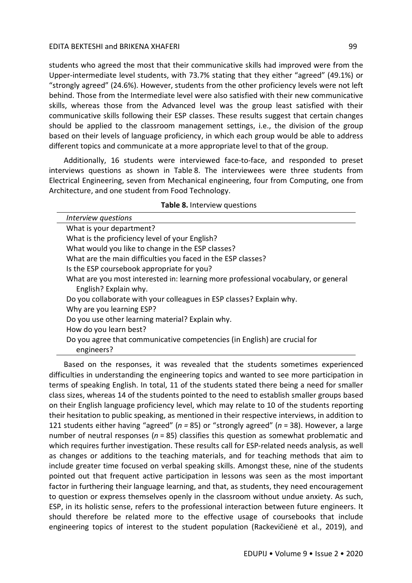students who agreed the most that their communicative skills had improved were from the Upper-intermediate level students, with 73.7% stating that they either "agreed" (49.1%) or "strongly agreed" (24.6%). However, students from the other proficiency levels were not left behind. Those from the Intermediate level were also satisfied with their new communicative skills, whereas those from the Advanced level was the group least satisfied with their communicative skills following their ESP classes. These results suggest that certain changes should be applied to the classroom management settings, i.e., the division of the group based on their levels of language proficiency, in which each group would be able to address different topics and communicate at a more appropriate level to that of the group.

Additionally, 16 students were interviewed face-to-face, and responded to preset interviews questions as shown in Table 8. The interviewees were three students from Electrical Engineering, seven from Mechanical engineering, four from Computing, one from Architecture, and one student from Food Technology.

| Interview questions                                                                |
|------------------------------------------------------------------------------------|
| What is your department?                                                           |
| What is the proficiency level of your English?                                     |
| What would you like to change in the ESP classes?                                  |
| What are the main difficulties you faced in the ESP classes?                       |
| Is the ESP coursebook appropriate for you?                                         |
| What are you most interested in: learning more professional vocabulary, or general |
| English? Explain why.                                                              |
| Do you collaborate with your colleagues in ESP classes? Explain why.               |
| Why are you learning ESP?                                                          |
| Do you use other learning material? Explain why.                                   |
| How do you learn best?                                                             |
| Do you agree that communicative competencies (in English) are crucial for          |
| engineers?                                                                         |

**Table 8.** Interview questions

Based on the responses, it was revealed that the students sometimes experienced difficulties in understanding the engineering topics and wanted to see more participation in terms of speaking English. In total, 11 of the students stated there being a need for smaller class sizes, whereas 14 of the students pointed to the need to establish smaller groups based on their English language proficiency level, which may relate to 10 of the students reporting their hesitation to public speaking, as mentioned in their respective interviews, in addition to 121 students either having "agreed" (*n =* 85) or "strongly agreed" (*n* = 38). However, a large number of neutral responses (*n* = 85) classifies this question as somewhat problematic and which requires further investigation. These results call for ESP-related needs analysis, as well as changes or additions to the teaching materials, and for teaching methods that aim to include greater time focused on verbal speaking skills. Amongst these, nine of the students pointed out that frequent active participation in lessons was seen as the most important factor in furthering their language learning, and that, as students, they need encouragement to question or express themselves openly in the classroom without undue anxiety. As such, ESP, in its holistic sense, refers to the professional interaction between future engineers. It should therefore be related more to the effective usage of coursebooks that include engineering topics of interest to the student population (Rackevičienė et al., 2019), and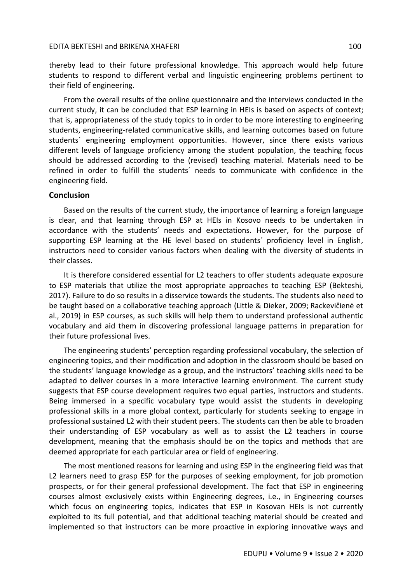thereby lead to their future professional knowledge. This approach would help future students to respond to different verbal and linguistic engineering problems pertinent to their field of engineering.

From the overall results of the online questionnaire and the interviews conducted in the current study, it can be concluded that ESP learning in HEIs is based on aspects of context; that is, appropriateness of the study topics to in order to be more interesting to engineering students, engineering-related communicative skills, and learning outcomes based on future students´ engineering employment opportunities. However, since there exists various different levels of language proficiency among the student population, the teaching focus should be addressed according to the (revised) teaching material. Materials need to be refined in order to fulfill the students´ needs to communicate with confidence in the engineering field.

### **Conclusion**

Based on the results of the current study, the importance of learning a foreign language is clear, and that learning through ESP at HEIs in Kosovo needs to be undertaken in accordance with the students' needs and expectations. However, for the purpose of supporting ESP learning at the HE level based on students´ proficiency level in English, instructors need to consider various factors when dealing with the diversity of students in their classes.

It is therefore considered essential for L2 teachers to offer students adequate exposure to ESP materials that utilize the most appropriate approaches to teaching ESP (Bekteshi, 2017). Failure to do so results in a disservice towards the students. The students also need to be taught based on a collaborative teaching approach (Little & Dieker, 2009; Rackevičienė et al., 2019) in ESP courses, as such skills will help them to understand professional authentic vocabulary and aid them in discovering professional language patterns in preparation for their future professional lives.

The engineering students' perception regarding professional vocabulary, the selection of engineering topics, and their modification and adoption in the classroom should be based on the students' language knowledge as a group, and the instructors' teaching skills need to be adapted to deliver courses in a more interactive learning environment. The current study suggests that ESP course development requires two equal parties, instructors and students. Being immersed in a specific vocabulary type would assist the students in developing professional skills in a more global context, particularly for students seeking to engage in professional sustained L2 with their student peers. The students can then be able to broaden their understanding of ESP vocabulary as well as to assist the L2 teachers in course development, meaning that the emphasis should be on the topics and methods that are deemed appropriate for each particular area or field of engineering.

The most mentioned reasons for learning and using ESP in the engineering field was that L2 learners need to grasp ESP for the purposes of seeking employment, for job promotion prospects, or for their general professional development. The fact that ESP in engineering courses almost exclusively exists within Engineering degrees, i.e., in Engineering courses which focus on engineering topics, indicates that ESP in Kosovan HEIs is not currently exploited to its full potential, and that additional teaching material should be created and implemented so that instructors can be more proactive in exploring innovative ways and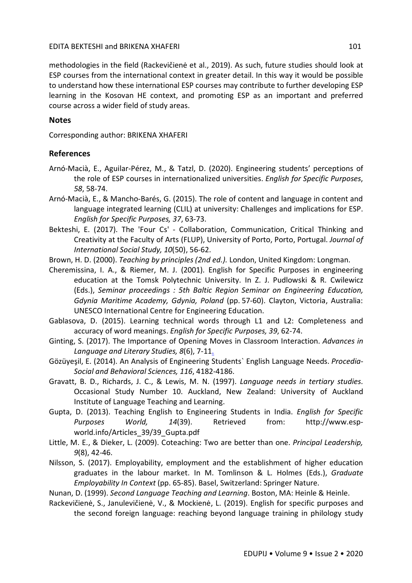methodologies in the field (Rackevičienė et al., 2019). As such, future studies should look at ESP courses from the international context in greater detail. In this way it would be possible to understand how these international ESP courses may contribute to further developing ESP learning in the Kosovan HE context, and promoting ESP as an important and preferred course across a wider field of study areas.

# **Notes**

Corresponding author: BRIKENA XHAFERI

# **References**

- Arnó-Macià, E., Aguilar-Pérez, M., & Tatzl, D. (2020). Engineering students' perceptions of the role of ESP courses in internationalized universities. *English for Specific Purposes*, *58*, 58-74.
- Arnó-Macià, E., & Mancho-Barés, G. (2015). The role of content and language in content and language integrated learning (CLIL) at university: Challenges and implications for ESP. *English for Specific Purposes, 37*, 63-73.
- Bekteshi, E. (2017). The 'Four Cs' Collaboration, Communication, Critical Thinking and Creativity at the Faculty of Arts (FLUP), University of Porto, Porto, Portugal. *Journal of International Social Study, 10*(50), 56-62.
- Brown, H. D. (2000). *Teaching by principles (2nd ed.).* London, United Kingdom: Longman.
- Cheremissina, I. A., & Riemer, M. J. (2001). English for Specific Purposes in engineering education at the Tomsk Polytechnic University. In Z. J. Pudlowski & R. Cwilewicz (Eds.), *Seminar proceedings : 5th Baltic Region Seminar on Engineering Education, Gdynia Maritime Academy, Gdynia, Poland* (pp. 57-60). Clayton, Victoria, Australia: UNESCO International Centre for Engineering Education.
- Gablasova, D. (2015). Learning technical words through L1 and L2: Completeness and accuracy of word meanings. *English for Specific Purposes, 39*, 62-74.
- Ginting, S. (2017). The Importance of Opening Moves in Classroom Interaction. *Advances in Language and Literary Studies, 8*(6), 7-11.
- Gözüyeşil, E. (2014). An Analysis of Engineering Students` English Language Needs. *Procedia-Social and Behavioral Sciences, 116*, 4182-4186.
- Gravatt, B. D., Richards, J. C., & Lewis, M. N. (1997). *Language needs in tertiary studies*. Occasional Study Number 10. Auckland, New Zealand: University of Auckland Institute of Language Teaching and Learning.
- Gupta, D. (2013). Teaching English to Engineering Students in India. *English for Specific Purposes World, 14*(39). Retrieved from: http://www.espworld.info/Articles 39/39 Gupta.pdf
- Little, M. E., & Dieker, L. (2009). Coteaching: Two are better than one. *Principal Leadership, 9*(8), 42-46.
- Nilsson, S. (2017). Employability, employment and the establishment of higher education graduates in the labour market. In M. Tomlinson & L. Holmes (Eds.), *Graduate Employability In Context* (pp. 65-85). Basel, Switzerland: Springer Nature.
- Nunan, D. (1999). *Second Language Teaching and Learning*. Boston, MA: Heinle & Heinle.
- Rackevičienė, S., Janulevičienė, V., & Mockienė, L. (2019). English for specific purposes and the second foreign language: reaching beyond language training in philology study